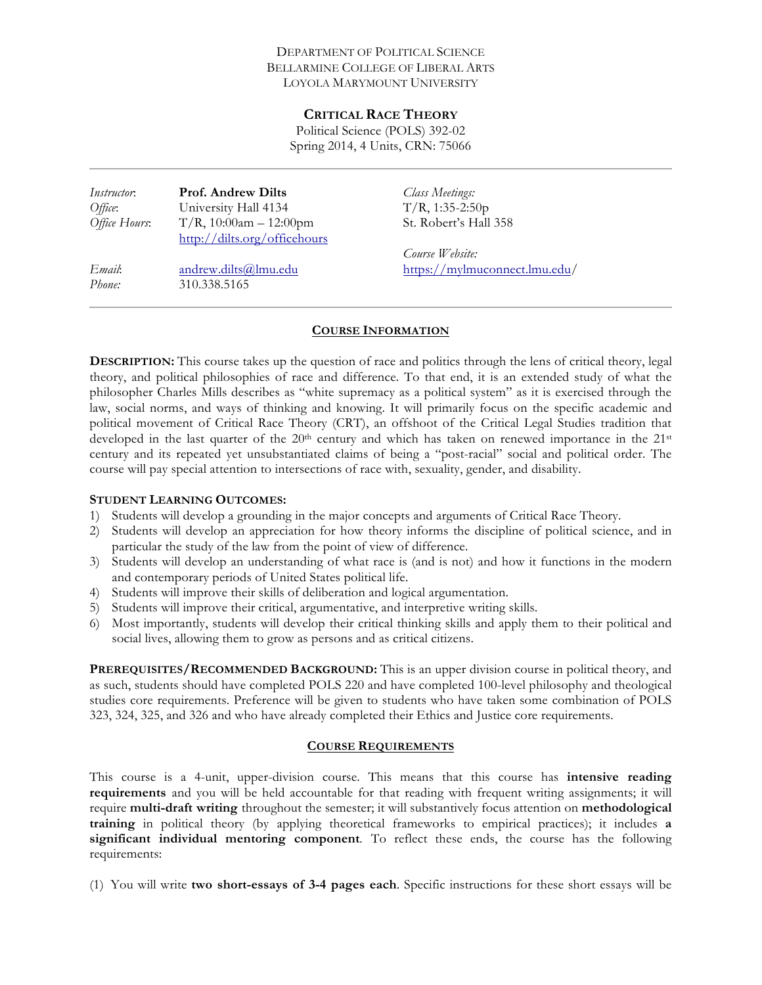#### DEPARTMENT OF POLITICAL SCIENCE BELLARMINE COLLEGE OF LIBERAL ARTS LOYOLA MARYMOUNT UNIVERSITY

#### **CRITICAL RACE THEORY**

Political Science (POLS) 392-02 Spring 2014, 4 Units, CRN: 75066

| <i>Instructor</i> . | <b>Prof. Andrew Dilts</b>    | Class Meetings:               |
|---------------------|------------------------------|-------------------------------|
| Office:             | University Hall 4134         | $T/R$ , 1:35-2:50p            |
| Office Hours:       | $T/R$ , 10:00am - 12:00pm    | St. Robert's Hall 358         |
|                     | http://dilts.org/officehours |                               |
|                     |                              | Course Website:               |
| Email:              | andrew.dilts@lmu.edu         | https://mylmuconnect.lmu.edu/ |
| Phone:              | 310.338.5165                 |                               |

#### **COURSE INFORMATION**

**DESCRIPTION:** This course takes up the question of race and politics through the lens of critical theory, legal theory, and political philosophies of race and difference. To that end, it is an extended study of what the philosopher Charles Mills describes as "white supremacy as a political system" as it is exercised through the law, social norms, and ways of thinking and knowing. It will primarily focus on the specific academic and political movement of Critical Race Theory (CRT), an offshoot of the Critical Legal Studies tradition that developed in the last quarter of the  $20<sup>th</sup>$  century and which has taken on renewed importance in the  $21<sup>st</sup>$ century and its repeated yet unsubstantiated claims of being a "post-racial" social and political order. The course will pay special attention to intersections of race with, sexuality, gender, and disability.

#### **STUDENT LEARNING OUTCOMES:**

- 1) Students will develop a grounding in the major concepts and arguments of Critical Race Theory.
- 2) Students will develop an appreciation for how theory informs the discipline of political science, and in particular the study of the law from the point of view of difference.
- 3) Students will develop an understanding of what race is (and is not) and how it functions in the modern and contemporary periods of United States political life.
- 4) Students will improve their skills of deliberation and logical argumentation.
- 5) Students will improve their critical, argumentative, and interpretive writing skills.
- 6) Most importantly, students will develop their critical thinking skills and apply them to their political and social lives, allowing them to grow as persons and as critical citizens.

**PREREQUISITES/RECOMMENDED BACKGROUND:** This is an upper division course in political theory, and as such, students should have completed POLS 220 and have completed 100-level philosophy and theological studies core requirements. Preference will be given to students who have taken some combination of POLS 323, 324, 325, and 326 and who have already completed their Ethics and Justice core requirements.

#### **COURSE REQUIREMENTS**

This course is a 4-unit, upper-division course. This means that this course has **intensive reading requirements** and you will be held accountable for that reading with frequent writing assignments; it will require **multi-draft writing** throughout the semester; it will substantively focus attention on **methodological training** in political theory (by applying theoretical frameworks to empirical practices); it includes **a significant individual mentoring component***.* To reflect these ends, the course has the following requirements:

(1) You will write **two short-essays of 3-4 pages each**. Specific instructions for these short essays will be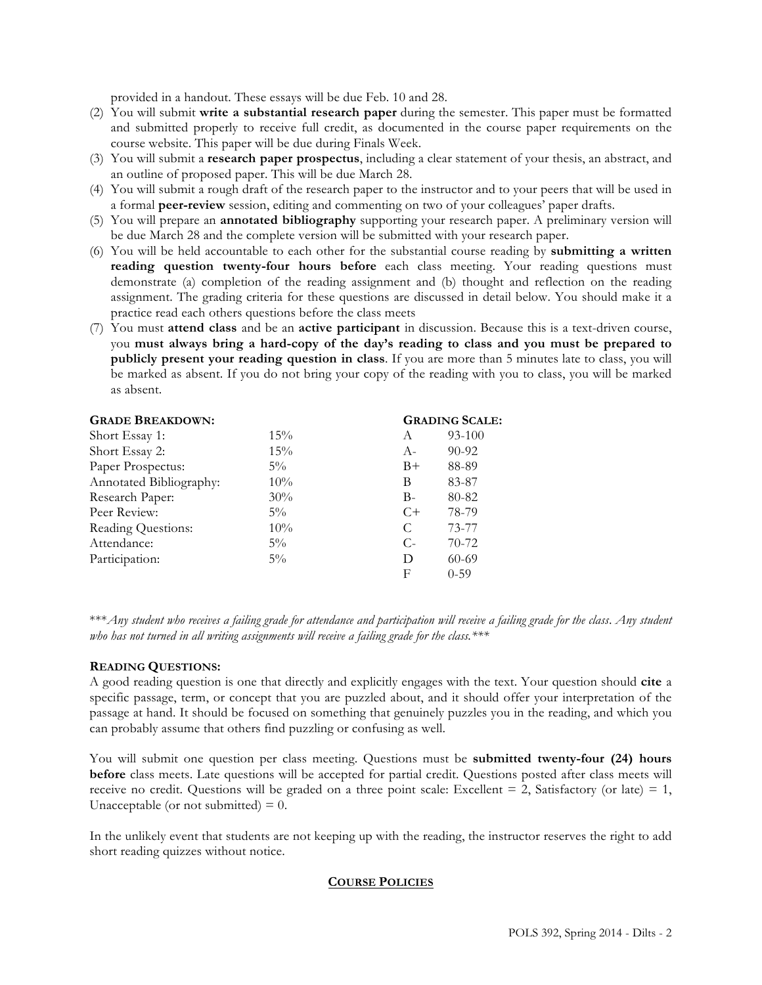provided in a handout. These essays will be due Feb. 10 and 28.

- (2) You will submit **write a substantial research paper** during the semester. This paper must be formatted and submitted properly to receive full credit, as documented in the course paper requirements on the course website. This paper will be due during Finals Week.
- (3) You will submit a **research paper prospectus**, including a clear statement of your thesis, an abstract, and an outline of proposed paper. This will be due March 28.
- (4) You will submit a rough draft of the research paper to the instructor and to your peers that will be used in a formal **peer-review** session, editing and commenting on two of your colleagues' paper drafts.
- (5) You will prepare an **annotated bibliography** supporting your research paper. A preliminary version will be due March 28 and the complete version will be submitted with your research paper.
- (6) You will be held accountable to each other for the substantial course reading by **submitting a written reading question twenty-four hours before** each class meeting. Your reading questions must demonstrate (a) completion of the reading assignment and (b) thought and reflection on the reading assignment. The grading criteria for these questions are discussed in detail below. You should make it a practice read each others questions before the class meets
- (7) You must **attend class** and be an **active participant** in discussion. Because this is a text-driven course, you **must always bring a hard-copy of the day's reading to class and you must be prepared to publicly present your reading question in class**. If you are more than 5 minutes late to class, you will be marked as absent. If you do not bring your copy of the reading with you to class, you will be marked as absent.

| <b>GRADE BREAKDOWN:</b> | <b>GRADING SCALE:</b> |       |           |
|-------------------------|-----------------------|-------|-----------|
| Short Essay 1:          | 15%                   | A     | 93-100    |
| Short Essay 2:          | 15%                   | $A -$ | $90 - 92$ |
| Paper Prospectus:       | $5\%$                 | $B+$  | 88-89     |
| Annotated Bibliography: | 10%                   | B     | 83-87     |
| Research Paper:         | 30%                   | $B -$ | 80-82     |
| Peer Review:            | $5\%$                 | $C+$  | 78-79     |
| Reading Questions:      | 10%                   | C     | 73-77     |
| Attendance:             | $5\%$                 | $C$ - | $70-72$   |
| Participation:          | $5\%$                 | D     | $60 - 69$ |
|                         |                       | F     | $0 - 59$  |

\*\*\**Any student who receives a failing grade for attendance and participation will receive a failing grade for the class*. *Any student who has not turned in all writing assignments will receive a failing grade for the class.\*\*\**

#### **READING QUESTIONS:**

A good reading question is one that directly and explicitly engages with the text. Your question should **cite** a specific passage, term, or concept that you are puzzled about, and it should offer your interpretation of the passage at hand. It should be focused on something that genuinely puzzles you in the reading, and which you can probably assume that others find puzzling or confusing as well.

You will submit one question per class meeting. Questions must be **submitted twenty-four (24) hours before** class meets. Late questions will be accepted for partial credit. Questions posted after class meets will receive no credit. Questions will be graded on a three point scale: Excellent  $= 2$ , Satisfactory (or late)  $= 1$ , Unacceptable (or not submitted)  $= 0$ .

In the unlikely event that students are not keeping up with the reading, the instructor reserves the right to add short reading quizzes without notice.

#### **COURSE POLICIES**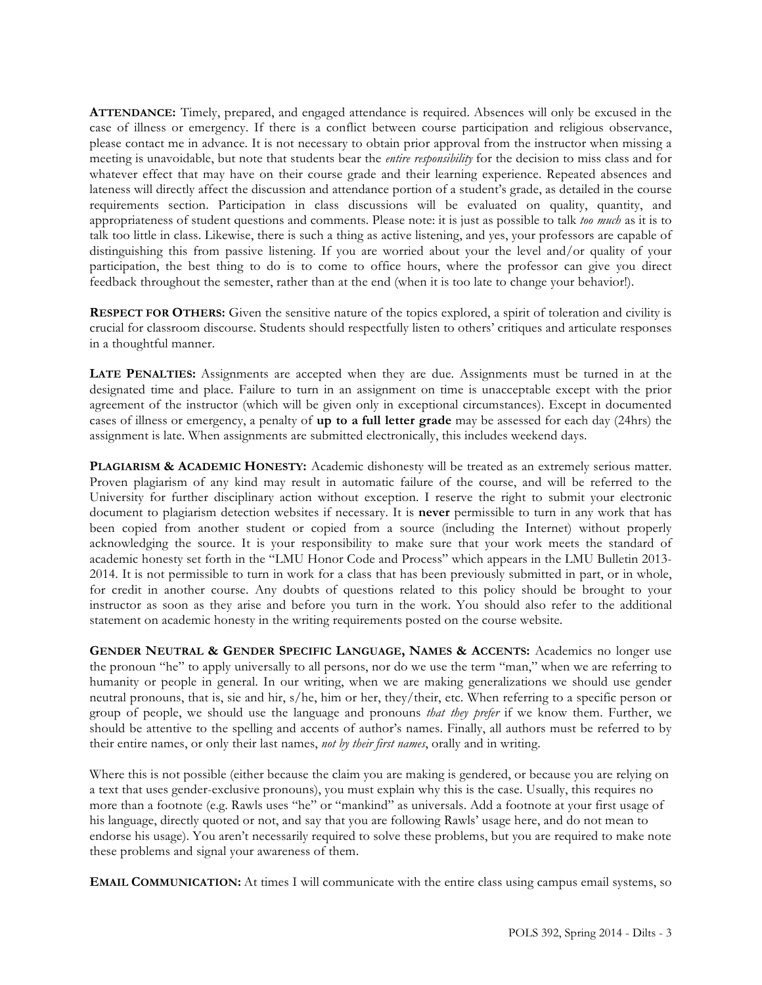**ATTENDANCE:** Timely, prepared, and engaged attendance is required. Absences will only be excused in the case of illness or emergency. If there is a conflict between course participation and religious observance, please contact me in advance. It is not necessary to obtain prior approval from the instructor when missing a meeting is unavoidable, but note that students bear the *entire responsibility* for the decision to miss class and for whatever effect that may have on their course grade and their learning experience. Repeated absences and lateness will directly affect the discussion and attendance portion of a student's grade, as detailed in the course requirements section. Participation in class discussions will be evaluated on quality, quantity, and appropriateness of student questions and comments. Please note: it is just as possible to talk *too much* as it is to talk too little in class. Likewise, there is such a thing as active listening, and yes, your professors are capable of distinguishing this from passive listening. If you are worried about your the level and/or quality of your participation, the best thing to do is to come to office hours, where the professor can give you direct feedback throughout the semester, rather than at the end (when it is too late to change your behavior!).

**RESPECT FOR OTHERS:** Given the sensitive nature of the topics explored, a spirit of toleration and civility is crucial for classroom discourse. Students should respectfully listen to others' critiques and articulate responses in a thoughtful manner.

**LATE PENALTIES:** Assignments are accepted when they are due. Assignments must be turned in at the designated time and place. Failure to turn in an assignment on time is unacceptable except with the prior agreement of the instructor (which will be given only in exceptional circumstances). Except in documented cases of illness or emergency, a penalty of **up to a full letter grade** may be assessed for each day (24hrs) the assignment is late. When assignments are submitted electronically, this includes weekend days.

**PLAGIARISM & ACADEMIC HONESTY:** Academic dishonesty will be treated as an extremely serious matter. Proven plagiarism of any kind may result in automatic failure of the course, and will be referred to the University for further disciplinary action without exception. I reserve the right to submit your electronic document to plagiarism detection websites if necessary. It is **never** permissible to turn in any work that has been copied from another student or copied from a source (including the Internet) without properly acknowledging the source. It is your responsibility to make sure that your work meets the standard of academic honesty set forth in the "LMU Honor Code and Process" which appears in the LMU Bulletin 2013- 2014. It is not permissible to turn in work for a class that has been previously submitted in part, or in whole, for credit in another course. Any doubts of questions related to this policy should be brought to your instructor as soon as they arise and before you turn in the work. You should also refer to the additional statement on academic honesty in the writing requirements posted on the course website.

**GENDER NEUTRAL & GENDER SPECIFIC LANGUAGE, NAMES & ACCENTS:** Academics no longer use the pronoun "he" to apply universally to all persons, nor do we use the term "man," when we are referring to humanity or people in general. In our writing, when we are making generalizations we should use gender neutral pronouns, that is, sie and hir, s/he, him or her, they/their, etc. When referring to a specific person or group of people, we should use the language and pronouns *that they prefer* if we know them. Further, we should be attentive to the spelling and accents of author's names. Finally, all authors must be referred to by their entire names, or only their last names, *not by their first names*, orally and in writing.

Where this is not possible (either because the claim you are making is gendered, or because you are relying on a text that uses gender-exclusive pronouns), you must explain why this is the case. Usually, this requires no more than a footnote (e.g. Rawls uses "he" or "mankind" as universals. Add a footnote at your first usage of his language, directly quoted or not, and say that you are following Rawls' usage here, and do not mean to endorse his usage). You aren't necessarily required to solve these problems, but you are required to make note these problems and signal your awareness of them.

**EMAIL COMMUNICATION:** At times I will communicate with the entire class using campus email systems, so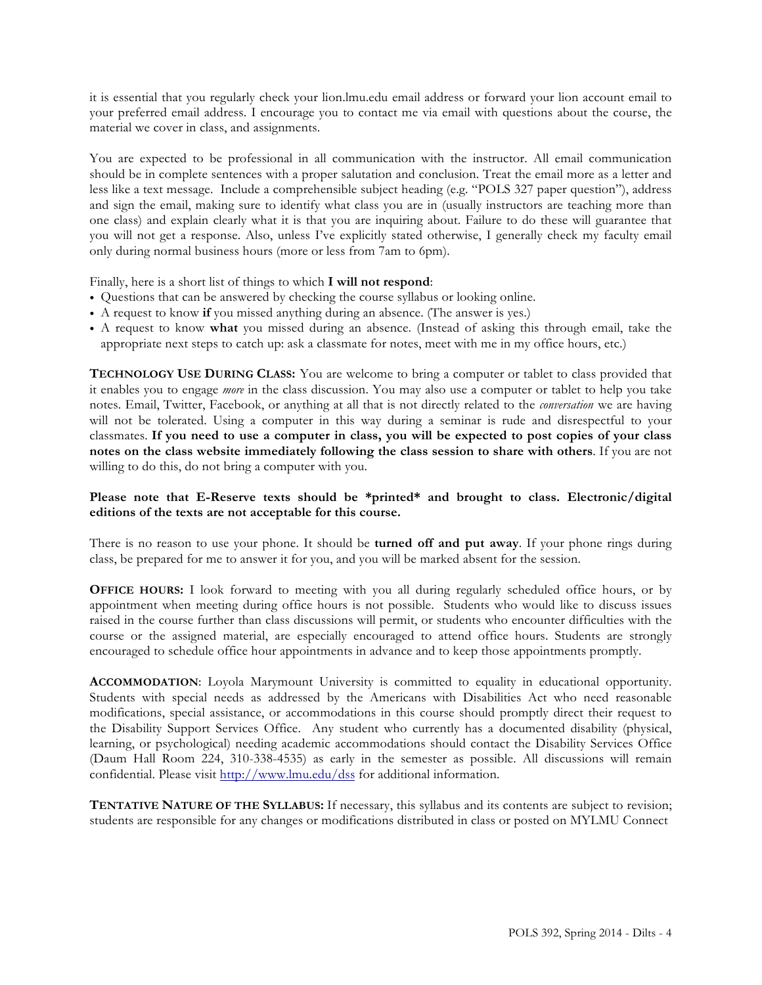it is essential that you regularly check your lion.lmu.edu email address or forward your lion account email to your preferred email address. I encourage you to contact me via email with questions about the course, the material we cover in class, and assignments.

You are expected to be professional in all communication with the instructor. All email communication should be in complete sentences with a proper salutation and conclusion. Treat the email more as a letter and less like a text message. Include a comprehensible subject heading (e.g. "POLS 327 paper question"), address and sign the email, making sure to identify what class you are in (usually instructors are teaching more than one class) and explain clearly what it is that you are inquiring about. Failure to do these will guarantee that you will not get a response. Also, unless I've explicitly stated otherwise, I generally check my faculty email only during normal business hours (more or less from 7am to 6pm).

Finally, here is a short list of things to which **I will not respond**:

- Questions that can be answered by checking the course syllabus or looking online.
- A request to know **if** you missed anything during an absence. (The answer is yes.)
- A request to know **what** you missed during an absence. (Instead of asking this through email, take the appropriate next steps to catch up: ask a classmate for notes, meet with me in my office hours, etc.)

**TECHNOLOGY USE DURING CLASS:** You are welcome to bring a computer or tablet to class provided that it enables you to engage *more* in the class discussion. You may also use a computer or tablet to help you take notes. Email, Twitter, Facebook, or anything at all that is not directly related to the *conversation* we are having will not be tolerated. Using a computer in this way during a seminar is rude and disrespectful to your classmates. **If you need to use a computer in class, you will be expected to post copies of your class notes on the class website immediately following the class session to share with others**. If you are not willing to do this, do not bring a computer with you.

## **Please note that E-Reserve texts should be \*printed\* and brought to class. Electronic/digital editions of the texts are not acceptable for this course.**

There is no reason to use your phone. It should be **turned off and put away**. If your phone rings during class, be prepared for me to answer it for you, and you will be marked absent for the session.

**OFFICE HOURS:** I look forward to meeting with you all during regularly scheduled office hours, or by appointment when meeting during office hours is not possible. Students who would like to discuss issues raised in the course further than class discussions will permit, or students who encounter difficulties with the course or the assigned material, are especially encouraged to attend office hours. Students are strongly encouraged to schedule office hour appointments in advance and to keep those appointments promptly.

**ACCOMMODATION**: Loyola Marymount University is committed to equality in educational opportunity. Students with special needs as addressed by the Americans with Disabilities Act who need reasonable modifications, special assistance, or accommodations in this course should promptly direct their request to the Disability Support Services Office. Any student who currently has a documented disability (physical, learning, or psychological) needing academic accommodations should contact the Disability Services Office (Daum Hall Room 224, 310-338-4535) as early in the semester as possible. All discussions will remain confidential. Please visit http://www.lmu.edu/dss for additional information.

**TENTATIVE NATURE OF THE SYLLABUS:** If necessary, this syllabus and its contents are subject to revision; students are responsible for any changes or modifications distributed in class or posted on MYLMU Connect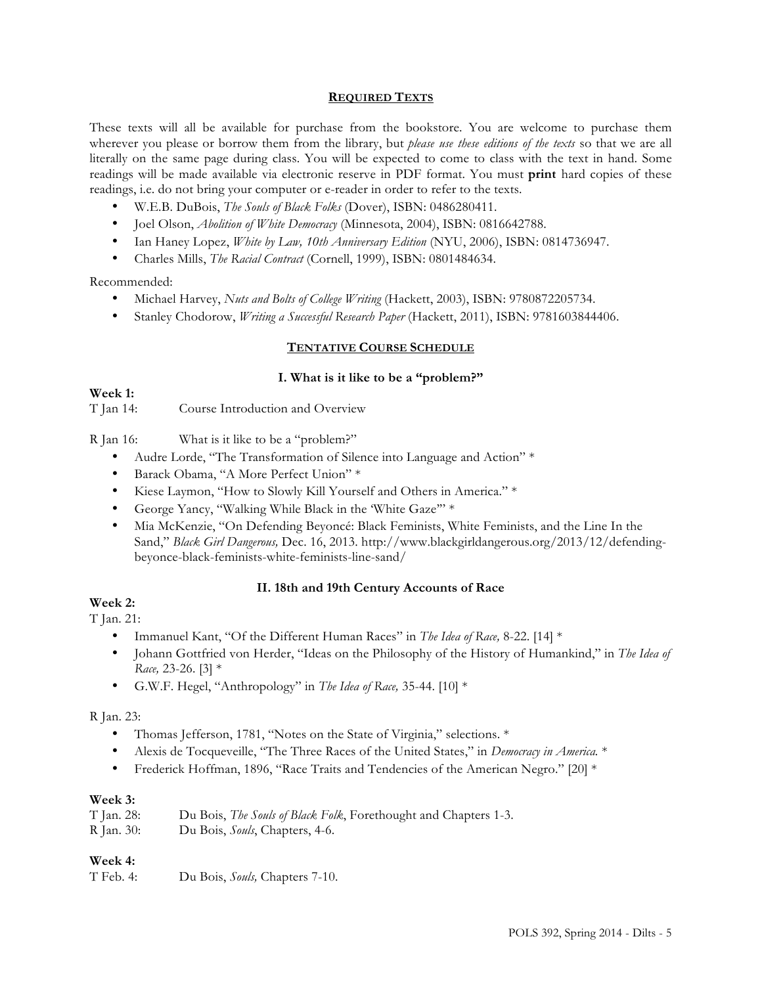#### **REQUIRED TEXTS**

These texts will all be available for purchase from the bookstore. You are welcome to purchase them wherever you please or borrow them from the library, but *please use these editions of the texts* so that we are all literally on the same page during class. You will be expected to come to class with the text in hand. Some readings will be made available via electronic reserve in PDF format. You must **print** hard copies of these readings, i.e. do not bring your computer or e-reader in order to refer to the texts.

- W.E.B. DuBois, *The Souls of Black Folks* (Dover), ISBN: 0486280411.
- Joel Olson, *Abolition of White Democracy* (Minnesota, 2004), ISBN: 0816642788.
- Ian Haney Lopez, *White by Law, 10th Anniversary Edition* (NYU, 2006), ISBN: 0814736947.
- Charles Mills, *The Racial Contract* (Cornell, 1999), ISBN: 0801484634.

Recommended:

- Michael Harvey, *Nuts and Bolts of College Writing* (Hackett, 2003), ISBN: 9780872205734.
- Stanley Chodorow, *Writing a Successful Research Paper* (Hackett, 2011), ISBN: 9781603844406.

#### **TENTATIVE COURSE SCHEDULE**

#### **I. What is it like to be a "problem?"**

#### **Week 1:**  T Jan 14: Course Introduction and Overview

R Jan 16: What is it like to be a "problem?"

- Audre Lorde, "The Transformation of Silence into Language and Action" \*
- Barack Obama, "A More Perfect Union" \*
- Kiese Laymon, "How to Slowly Kill Yourself and Others in America." \*
- George Yancy, "Walking While Black in the 'White Gaze'" \*
- Mia McKenzie, "On Defending Beyoncé: Black Feminists, White Feminists, and the Line In the Sand," *Black Girl Dangerous,* Dec. 16, 2013. http://www.blackgirldangerous.org/2013/12/defendingbeyonce-black-feminists-white-feminists-line-sand/

#### **II. 18th and 19th Century Accounts of Race**

## **Week 2:**

T Jan. 21:

- Immanuel Kant, "Of the Different Human Races" in *The Idea of Race,* 8-22. [14] \*
- Johann Gottfried von Herder, "Ideas on the Philosophy of the History of Humankind," in *The Idea of Race,* 23-26. [3] \*
- G.W.F. Hegel, "Anthropology" in *The Idea of Race,* 35-44. [10] \*

#### R Jan. 23:

- Thomas Jefferson, 1781, "Notes on the State of Virginia," selections. \*
- Alexis de Tocqueveille, "The Three Races of the United States," in *Democracy in America.* \*
- Frederick Hoffman, 1896, "Race Traits and Tendencies of the American Negro." [20] \*

## **Week 3:**

| T Jan. 28:           | Du Bois, The Souls of Black Folk, Forethought and Chapters 1-3.                  |  |
|----------------------|----------------------------------------------------------------------------------|--|
| $D_{\text{max}}$ 20. | $D_{\alpha}$ , $D_{\alpha}$ is $C_{\alpha}$ , $C_{\alpha}$ $C_{\alpha}$ $\alpha$ |  |

#### R Jan. 30: Du Bois, *Souls*, Chapters, 4-6.

# **Week 4:**

T Feb. 4: Du Bois, *Souls,* Chapters 7-10.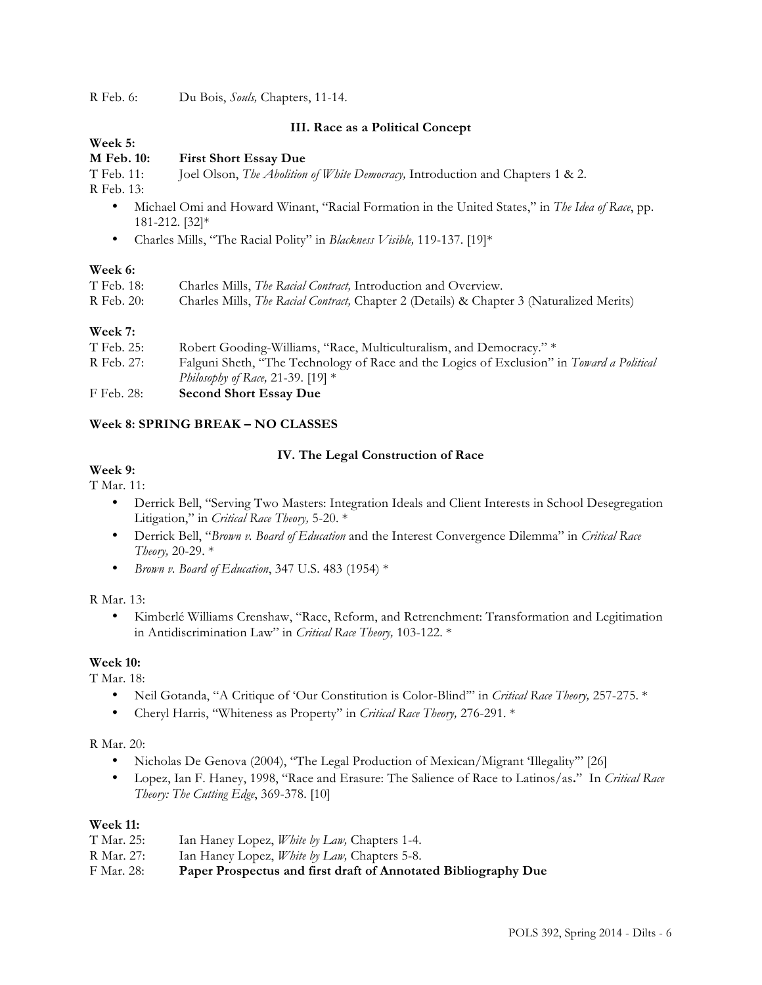R Feb. 6: Du Bois, *Souls,* Chapters, 11-14.

## **III. Race as a Political Concept**

# **Week 5:**

# **M Feb. 10: First Short Essay Due**

T Feb. 11: Joel Olson, *The Abolition of White Democracy,* Introduction and Chapters 1 & 2.

R Feb. 13:

- Michael Omi and Howard Winant, "Racial Formation in the United States," in *The Idea of Race*, pp. 181-212. [32]\*
- Charles Mills, "The Racial Polity" in *Blackness Visible,* 119-137. [19]\*

## **Week 6:**

| T Feb. 18: | Charles Mills, <i>The Racial Contract</i> , Introduction and Overview.                           |
|------------|--------------------------------------------------------------------------------------------------|
| R Feb. 20: | Charles Mills, <i>The Racial Contract</i> , Chapter 2 (Details) & Chapter 3 (Naturalized Merits) |
|            |                                                                                                  |

## **Week 7:**

| T Feb. 25: | Robert Gooding-Williams, "Race, Multiculturalism, and Democracy." *                              |
|------------|--------------------------------------------------------------------------------------------------|
| R Feb. 27: | Falguni Sheth, "The Technology of Race and the Logics of Exclusion" in <i>Toward a Political</i> |
|            | <i>Philosophy of Race, 21-39.</i> [19] *                                                         |
| F Feb. 28: | <b>Second Short Essay Due</b>                                                                    |

# **Week 8: SPRING BREAK – NO CLASSES**

# **IV. The Legal Construction of Race**

# **Week 9:**

T Mar. 11:

- Derrick Bell, "Serving Two Masters: Integration Ideals and Client Interests in School Desegregation Litigation," in *Critical Race Theory,* 5-20. \*
- Derrick Bell, "*Brown v. Board of Education* and the Interest Convergence Dilemma" in *Critical Race Theory,* 20-29. \*
- *Brown v. Board of Education*, 347 U.S. 483 (1954) \*

R Mar. 13:

• Kimberlé Williams Crenshaw, "Race, Reform, and Retrenchment: Transformation and Legitimation in Antidiscrimination Law" in *Critical Race Theory,* 103-122. \*

# **Week 10:**

T Mar. 18:

- Neil Gotanda, "A Critique of 'Our Constitution is Color-Blind'" in *Critical Race Theory,* 257-275. \*
- Cheryl Harris, "Whiteness as Property" in *Critical Race Theory,* 276-291. \*

## R Mar. 20:

- Nicholas De Genova (2004), "The Legal Production of Mexican/Migrant 'Illegality'" [26]
- Lopez, Ian F. Haney, 1998, "Race and Erasure: The Salience of Race to Latinos/as**.**" In *Critical Race Theory: The Cutting Edge*, 369-378. [10]

## **Week 11:**

| F Mar. 28: | Paper Prospectus and first draft of Annotated Bibliography Due |
|------------|----------------------------------------------------------------|
| R Mar. 27: | Ian Haney Lopez, <i>White by Law</i> , Chapters 5-8.           |
| T Mar. 25: | Ian Haney Lopez, <i>White by Law</i> , Chapters 1-4.           |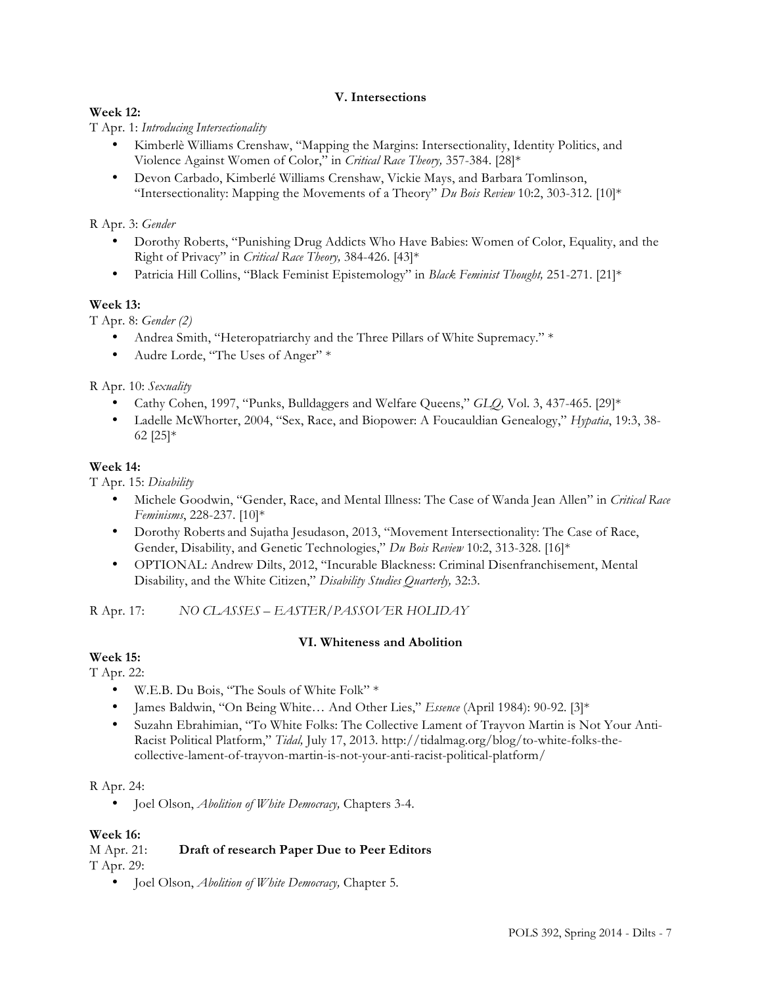# **V. Intersections**

# **Week 12:**

T Apr. 1: *Introducing Intersectionality*

- Kimberlè Williams Crenshaw, "Mapping the Margins: Intersectionality, Identity Politics, and Violence Against Women of Color," in *Critical Race Theory,* 357-384. [28]\*
- Devon Carbado, Kimberlé Williams Crenshaw, Vickie Mays, and Barbara Tomlinson, "Intersectionality: Mapping the Movements of a Theory" *Du Bois Review* 10:2, 303-312. [10]\*

## R Apr. 3: *Gender*

- Dorothy Roberts, "Punishing Drug Addicts Who Have Babies: Women of Color, Equality, and the Right of Privacy" in *Critical Race Theory,* 384-426. [43]\*
- Patricia Hill Collins, "Black Feminist Epistemology" in *Black Feminist Thought,* 251-271. [21]\*

# **Week 13:**

T Apr. 8: *Gender (2)*

- Andrea Smith, "Heteropatriarchy and the Three Pillars of White Supremacy." \*
- Audre Lorde, "The Uses of Anger" \*

R Apr. 10: *Sexuality*

- Cathy Cohen, 1997, "Punks, Bulldaggers and Welfare Queens," *GLQ,* Vol. 3, 437-465. [29]\*
- Ladelle McWhorter, 2004, "Sex, Race, and Biopower: A Foucauldian Genealogy," *Hypatia*, 19:3, 38- 62 [25]\*

## **Week 14:**

T Apr. 15: *Disability*

- Michele Goodwin, "Gender, Race, and Mental Illness: The Case of Wanda Jean Allen" in *Critical Race Feminisms*, 228-237. [10]\*
- Dorothy Roberts and Sujatha Jesudason, 2013, "Movement Intersectionality: The Case of Race, Gender, Disability, and Genetic Technologies," *Du Bois Review* 10:2, 313-328. [16]\*
- OPTIONAL: Andrew Dilts, 2012, "Incurable Blackness: Criminal Disenfranchisement, Mental Disability, and the White Citizen," *Disability Studies Quarterly,* 32:3.

R Apr. 17: *NO CLASSES – EASTER/PASSOVER HOLIDAY*

## **VI. Whiteness and Abolition**

**Week 15:** 

## T Apr. 22:

- W.E.B. Du Bois, "The Souls of White Folk" \*
- James Baldwin, "On Being White… And Other Lies," *Essence* (April 1984): 90-92. [3]\*
- Suzahn Ebrahimian, "To White Folks: The Collective Lament of Trayvon Martin is Not Your Anti-Racist Political Platform," *Tidal,* July 17, 2013. http://tidalmag.org/blog/to-white-folks-thecollective-lament-of-trayvon-martin-is-not-your-anti-racist-political-platform/

## R Apr. 24:

• Joel Olson, *Abolition of White Democracy,* Chapters 3-4.

## **Week 16:**

## M Apr. 21: **Draft of research Paper Due to Peer Editors** T Apr. 29:

• Joel Olson, *Abolition of White Democracy,* Chapter 5.